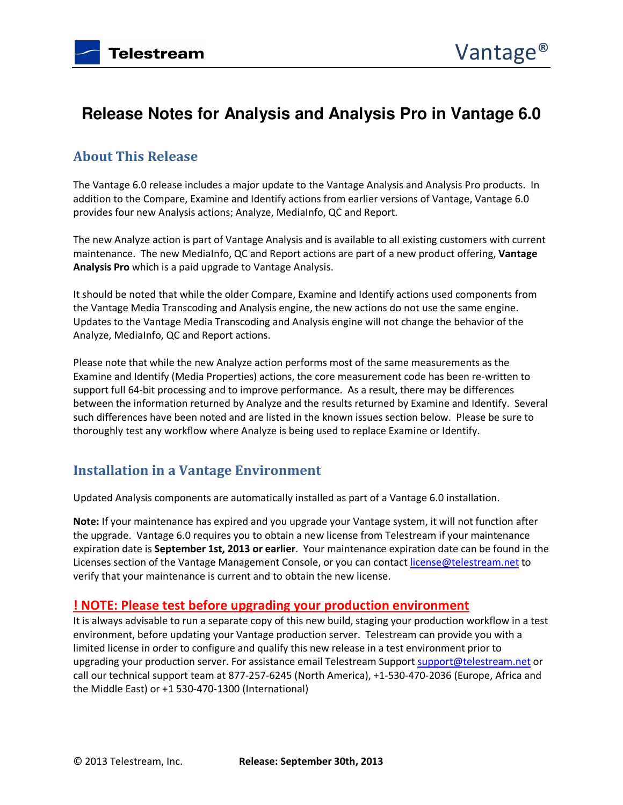# **Release Notes for Analysis and Analysis Pro in Vantage 6.0**

# **About This Release**

The Vantage 6.0 release includes a major update to the Vantage Analysis and Analysis Pro products. In addition to the Compare, Examine and Identify actions from earlier versions of Vantage, Vantage 6.0 provides four new Analysis actions; Analyze, MediaInfo, QC and Report.

The new Analyze action is part of Vantage Analysis and is available to all existing customers with current maintenance. The new MediaInfo, QC and Report actions are part of a new product offering, **Vantage Analysis Pro** which is a paid upgrade to Vantage Analysis.

It should be noted that while the older Compare, Examine and Identify actions used components from the Vantage Media Transcoding and Analysis engine, the new actions do not use the same engine. Updates to the Vantage Media Transcoding and Analysis engine will not change the behavior of the Analyze, MediaInfo, QC and Report actions.

Please note that while the new Analyze action performs most of the same measurements as the Examine and Identify (Media Properties) actions, the core measurement code has been re-written to support full 64-bit processing and to improve performance. As a result, there may be differences between the information returned by Analyze and the results returned by Examine and Identify. Several such differences have been noted and are listed in the known issues section below. Please be sure to thoroughly test any workflow where Analyze is being used to replace Examine or Identify.

# **Installation in a Vantage Environment**

Updated Analysis components are automatically installed as part of a Vantage 6.0 installation.

**Note:** If your maintenance has expired and you upgrade your Vantage system, it will not function after the upgrade. Vantage 6.0 requires you to obtain a new license from Telestream if your maintenance expiration date is **September 1st, 2013 or earlier**. Your maintenance expiration date can be found in the Licenses section of the Vantage Management Console, or you can contact license@telestream.net to verify that your maintenance is current and to obtain the new license.

#### **! NOTE: Please test before upgrading your production environment**

It is always advisable to run a separate copy of this new build, staging your production workflow in a test environment, before updating your Vantage production server. Telestream can provide you with a limited license in order to configure and qualify this new release in a test environment prior to upgrading your production server. For assistance email Telestream Support support@telestream.net or call our technical support team at 877-257-6245 (North America), +1-530-470-2036 (Europe, Africa and the Middle East) or +1 530-470-1300 (International)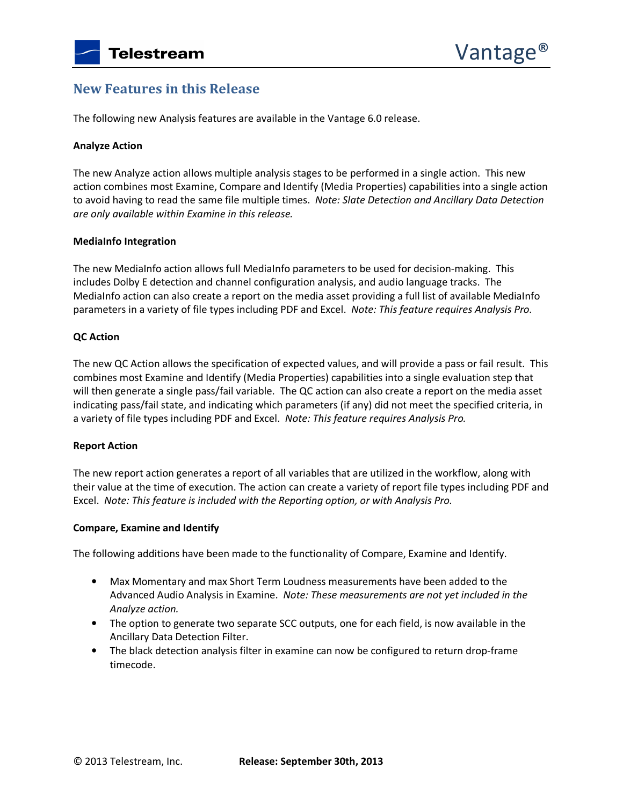### **New Features in this Release**

The following new Analysis features are available in the Vantage 6.0 release.

#### **Analyze Action**

The new Analyze action allows multiple analysis stages to be performed in a single action. This new action combines most Examine, Compare and Identify (Media Properties) capabilities into a single action to avoid having to read the same file multiple times. *Note: Slate Detection and Ancillary Data Detection are only available within Examine in this release.* 

#### **MediaInfo Integration**

The new MediaInfo action allows full MediaInfo parameters to be used for decision-making. This includes Dolby E detection and channel configuration analysis, and audio language tracks. The MediaInfo action can also create a report on the media asset providing a full list of available MediaInfo parameters in a variety of file types including PDF and Excel. *Note: This feature requires Analysis Pro.* 

#### **QC Action**

The new QC Action allows the specification of expected values, and will provide a pass or fail result. This combines most Examine and Identify (Media Properties) capabilities into a single evaluation step that will then generate a single pass/fail variable. The QC action can also create a report on the media asset indicating pass/fail state, and indicating which parameters (if any) did not meet the specified criteria, in a variety of file types including PDF and Excel. *Note: This feature requires Analysis Pro.* 

#### **Report Action**

The new report action generates a report of all variables that are utilized in the workflow, along with their value at the time of execution. The action can create a variety of report file types including PDF and Excel. *Note: This feature is included with the Reporting option, or with Analysis Pro.*

#### **Compare, Examine and Identify**

The following additions have been made to the functionality of Compare, Examine and Identify.

- Max Momentary and max Short Term Loudness measurements have been added to the Advanced Audio Analysis in Examine. *Note: These measurements are not yet included in the Analyze action.*
- The option to generate two separate SCC outputs, one for each field, is now available in the Ancillary Data Detection Filter.
- The black detection analysis filter in examine can now be configured to return drop-frame timecode.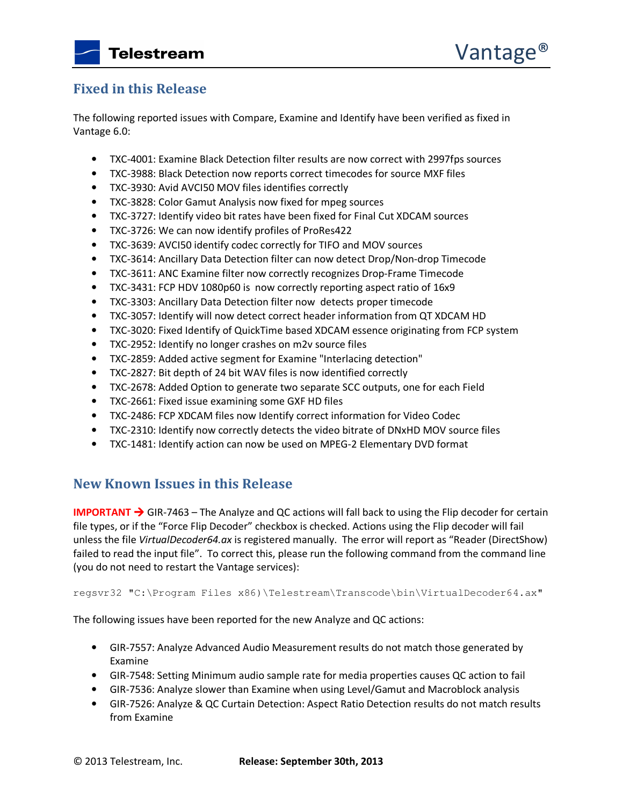### **Fixed in this Release**

The following reported issues with Compare, Examine and Identify have been verified as fixed in Vantage 6.0:

- TXC-4001: Examine Black Detection filter results are now correct with 2997fps sources
- TXC-3988: Black Detection now reports correct timecodes for source MXF files
- TXC-3930: Avid AVCI50 MOV files identifies correctly
- TXC-3828: Color Gamut Analysis now fixed for mpeg sources
- TXC-3727: Identify video bit rates have been fixed for Final Cut XDCAM sources
- TXC-3726: We can now identify profiles of ProRes422
- TXC-3639: AVCI50 identify codec correctly for TIFO and MOV sources
- TXC-3614: Ancillary Data Detection filter can now detect Drop/Non-drop Timecode
- TXC-3611: ANC Examine filter now correctly recognizes Drop-Frame Timecode
- TXC-3431: FCP HDV 1080p60 is now correctly reporting aspect ratio of 16x9
- TXC-3303: Ancillary Data Detection filter now detects proper timecode
- TXC-3057: Identify will now detect correct header information from QT XDCAM HD
- TXC-3020: Fixed Identify of QuickTime based XDCAM essence originating from FCP system
- TXC-2952: Identify no longer crashes on m2v source files
- TXC-2859: Added active segment for Examine "Interlacing detection"
- TXC-2827: Bit depth of 24 bit WAV files is now identified correctly
- TXC-2678: Added Option to generate two separate SCC outputs, one for each Field
- TXC-2661: Fixed issue examining some GXF HD files
- TXC-2486: FCP XDCAM files now Identify correct information for Video Codec
- TXC-2310: Identify now correctly detects the video bitrate of DNxHD MOV source files
- TXC-1481: Identify action can now be used on MPEG-2 Elementary DVD format

### **New Known Issues in this Release**

**IMPORTANT → GIR-7463** – The Analyze and QC actions will fall back to using the Flip decoder for certain file types, or if the "Force Flip Decoder" checkbox is checked. Actions using the Flip decoder will fail unless the file *VirtualDecoder64.ax* is registered manually. The error will report as "Reader (DirectShow) failed to read the input file". To correct this, please run the following command from the command line (you do not need to restart the Vantage services):

regsvr32 "C:\Program Files x86)\Telestream\Transcode\bin\VirtualDecoder64.ax"

The following issues have been reported for the new Analyze and QC actions:

- GIR-7557: Analyze Advanced Audio Measurement results do not match those generated by Examine
- GIR-7548: Setting Minimum audio sample rate for media properties causes QC action to fail
- GIR-7536: Analyze slower than Examine when using Level/Gamut and Macroblock analysis
- GIR-7526: Analyze & QC Curtain Detection: Aspect Ratio Detection results do not match results from Examine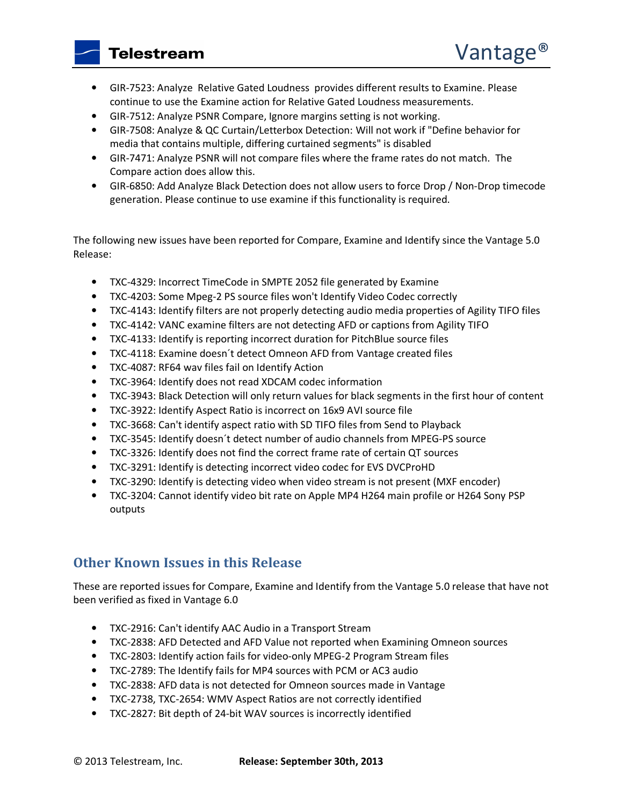**Telestream** 

- GIR-7523: Analyze Relative Gated Loudness provides different results to Examine. Please continue to use the Examine action for Relative Gated Loudness measurements.
- GIR-7512: Analyze PSNR Compare, Ignore margins setting is not working.
- GIR-7508: Analyze & QC Curtain/Letterbox Detection: Will not work if "Define behavior for media that contains multiple, differing curtained segments" is disabled
- GIR-7471: Analyze PSNR will not compare files where the frame rates do not match. The Compare action does allow this.
- GIR-6850: Add Analyze Black Detection does not allow users to force Drop / Non-Drop timecode generation. Please continue to use examine if this functionality is required.

The following new issues have been reported for Compare, Examine and Identify since the Vantage 5.0 Release:

- TXC-4329: Incorrect TimeCode in SMPTE 2052 file generated by Examine
- TXC-4203: Some Mpeg-2 PS source files won't Identify Video Codec correctly
- TXC-4143: Identify filters are not properly detecting audio media properties of Agility TIFO files
- TXC-4142: VANC examine filters are not detecting AFD or captions from Agility TIFO
- TXC-4133: Identify is reporting incorrect duration for PitchBlue source files
- TXC-4118: Examine doesn´t detect Omneon AFD from Vantage created files
- TXC-4087: RF64 wav files fail on Identify Action
- TXC-3964: Identify does not read XDCAM codec information
- TXC-3943: Black Detection will only return values for black segments in the first hour of content
- TXC-3922: Identify Aspect Ratio is incorrect on 16x9 AVI source file
- TXC-3668: Can't identify aspect ratio with SD TIFO files from Send to Playback
- TXC-3545: Identify doesn´t detect number of audio channels from MPEG-PS source
- TXC-3326: Identify does not find the correct frame rate of certain QT sources
- TXC-3291: Identify is detecting incorrect video codec for EVS DVCProHD
- TXC-3290: Identify is detecting video when video stream is not present (MXF encoder)
- TXC-3204: Cannot identify video bit rate on Apple MP4 H264 main profile or H264 Sony PSP outputs

# **Other Known Issues in this Release**

These are reported issues for Compare, Examine and Identify from the Vantage 5.0 release that have not been verified as fixed in Vantage 6.0

- TXC-2916: Can't identify AAC Audio in a Transport Stream
- TXC-2838: AFD Detected and AFD Value not reported when Examining Omneon sources
- TXC-2803: Identify action fails for video-only MPEG-2 Program Stream files
- TXC-2789: The Identify fails for MP4 sources with PCM or AC3 audio
- TXC-2838: AFD data is not detected for Omneon sources made in Vantage
- TXC-2738, TXC-2654: WMV Aspect Ratios are not correctly identified
- TXC-2827: Bit depth of 24-bit WAV sources is incorrectly identified